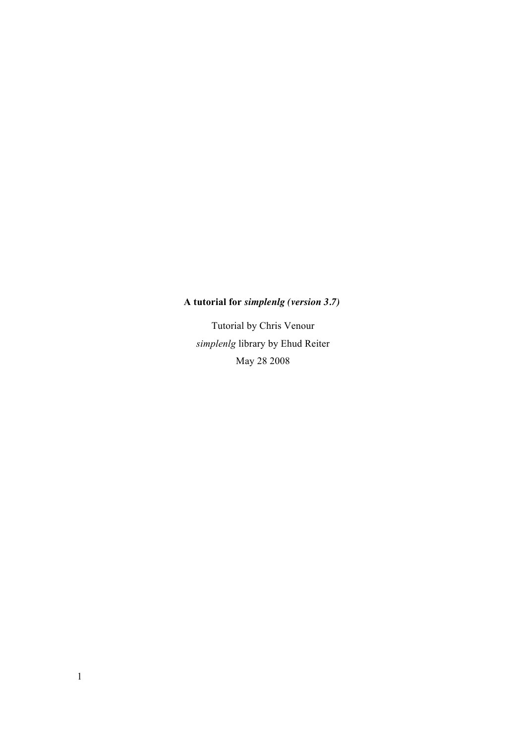# **A tutorial for** *simplenlg (version 3.7)*

Tutorial by Chris Venour *simplenlg* library by Ehud Reiter May 28 2008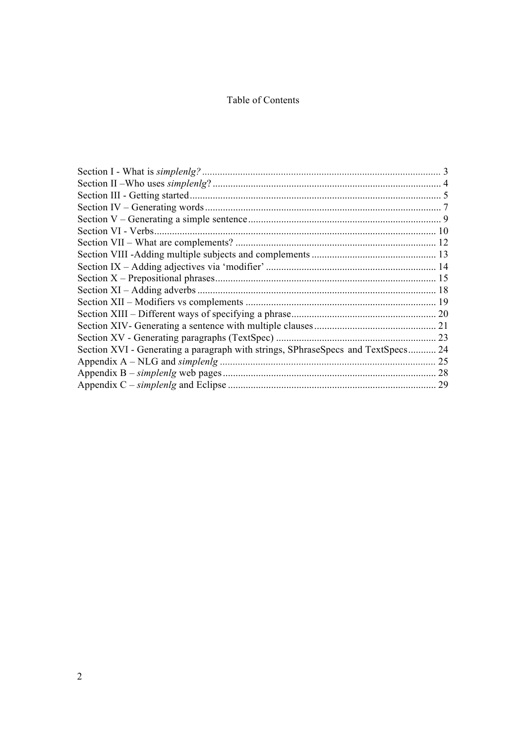# Table of Contents

| Section XVI - Generating a paragraph with strings, SPhraseSpecs and TextSpecs 24 |    |
|----------------------------------------------------------------------------------|----|
|                                                                                  |    |
|                                                                                  | 28 |
|                                                                                  |    |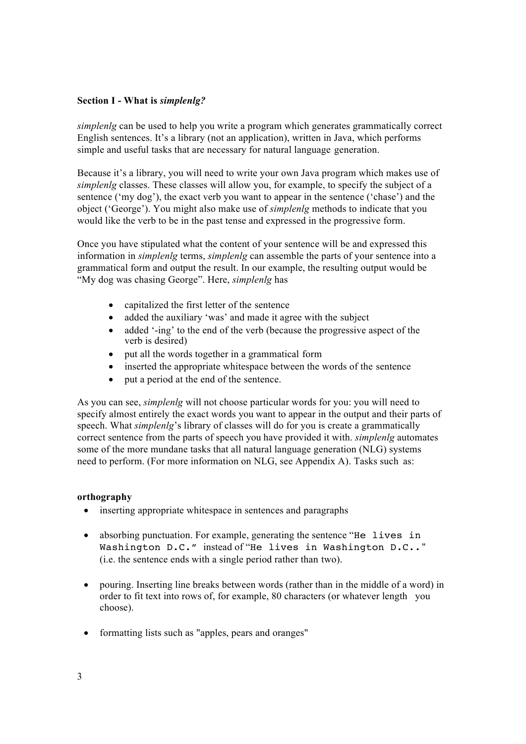# **Section I - What is** *simplenlg?*

*simplenlg* can be used to help you write a program which generates grammatically correct English sentences. It's a library (not an application), written in Java, which performs simple and useful tasks that are necessary for natural language generation.

Because it's a library, you will need to write your own Java program which makes use of *simplenlg* classes. These classes will allow you, for example, to specify the subject of a sentence ('my dog'), the exact verb you want to appear in the sentence ('chase') and the object ('George'). You might also make use of *simplenlg* methods to indicate that you would like the verb to be in the past tense and expressed in the progressive form.

Once you have stipulated what the content of your sentence will be and expressed this information in *simplenlg* terms, *simplenlg* can assemble the parts of your sentence into a grammatical form and output the result. In our example, the resulting output would be "My dog was chasing George". Here, *simplenlg* has

- capitalized the first letter of the sentence
- added the auxiliary 'was' and made it agree with the subject
- added '-ing' to the end of the verb (because the progressive aspect of the verb is desired)
- put all the words together in a grammatical form
- inserted the appropriate whitespace between the words of the sentence
- put a period at the end of the sentence.

As you can see, *simplenlg* will not choose particular words for you: you will need to specify almost entirely the exact words you want to appear in the output and their parts of speech. What *simplenlg*'s library of classes will do for you is create a grammatically correct sentence from the parts of speech you have provided it with. *simplenlg* automates some of the more mundane tasks that all natural language generation (NLG) systems need to perform. (For more information on NLG, see Appendix A). Tasks such as:

# **orthography**

- inserting appropriate whitespace in sentences and paragraphs
- absorbing punctuation. For example, generating the sentence "He lives in Washington D.C." instead of "He lives in Washington D.C.." (i.e. the sentence ends with a single period rather than two).
- pouring. Inserting line breaks between words (rather than in the middle of a word) in order to fit text into rows of, for example, 80 characters (or whatever length you choose).
- formatting lists such as "apples, pears and oranges"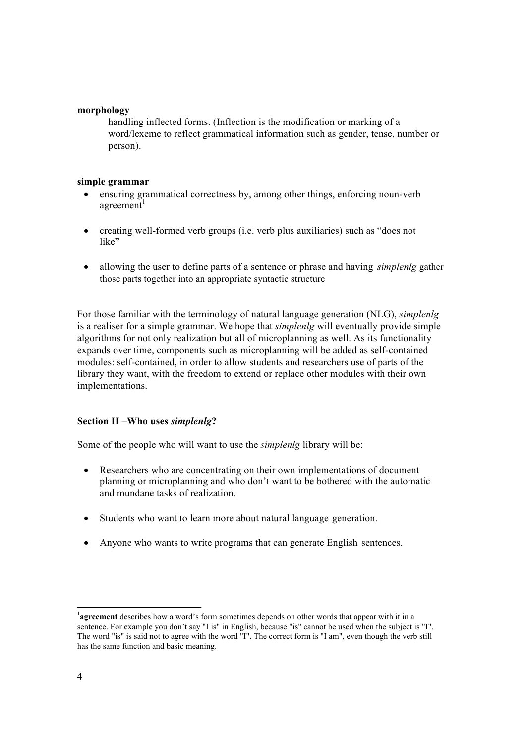## **morphology**

handling inflected forms. (Inflection is the modification or marking of a word/lexeme to reflect grammatical information such as gender, tense, number or person).

## **simple grammar**

- ensuring grammatical correctness by, among other things, enforcing noun-verb  $a$ greement<sup>1</sup>
- creating well-formed verb groups (i.e. verb plus auxiliaries) such as "does not like"
- allowing the user to define parts of a sentence or phrase and having *simplenlg* gather those parts together into an appropriate syntactic structure

For those familiar with the terminology of natural language generation (NLG), *simplenlg*  is a realiser for a simple grammar. We hope that *simplenlg* will eventually provide simple algorithms for not only realization but all of microplanning as well. As its functionality expands over time, components such as microplanning will be added as self-contained modules: self-contained, in order to allow students and researchers use of parts of the library they want, with the freedom to extend or replace other modules with their own implementations.

# **Section II –Who uses** *simplenlg***?**

Some of the people who will want to use the *simplenlg* library will be:

- Researchers who are concentrating on their own implementations of document planning or microplanning and who don't want to be bothered with the automatic and mundane tasks of realization.
- Students who want to learn more about natural language generation.
- Anyone who wants to write programs that can generate English sentences.

<sup>&</sup>lt;sup>1</sup>agreement describes how a word's form sometimes depends on other words that appear with it in a sentence. For example you don't say "I is" in English, because "is" cannot be used when the subject is "I". The word "is" is said not to agree with the word "I". The correct form is "I am", even though the verb still has the same function and basic meaning.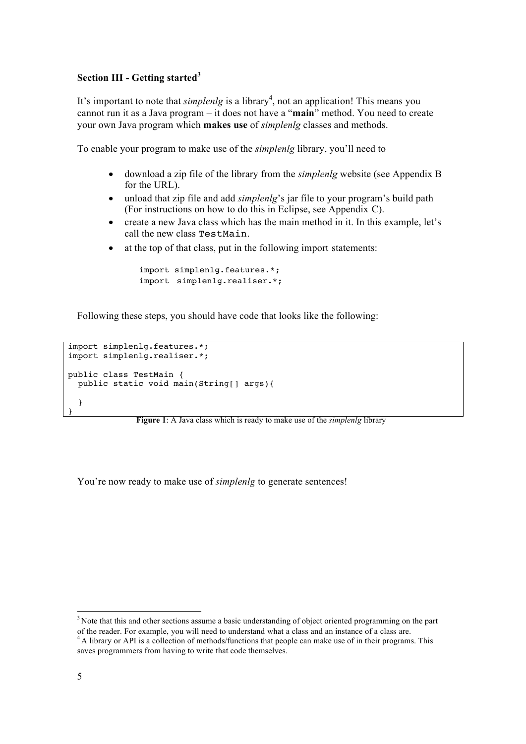# **Section III - Getting started<sup>3</sup>**

It's important to note that *simplenlg* is a library<sup>4</sup>, not an application! This means you cannot run it as a Java program – it does not have a "**main**" method. You need to create your own Java program which **makes use** of *simplenlg* classes and methods.

To enable your program to make use of the *simplenlg* library, you'll need to

- download a zip file of the library from the *simplenlg* website (see Appendix B for the URL).
- unload that zip file and add *simplenlg*'s jar file to your program's build path (For instructions on how to do this in Eclipse, see Appendix C).
- create a new Java class which has the main method in it. In this example, let's call the new class TestMain.
- at the top of that class, put in the following import statements:

```
import simplenlg.features.*; 
import simplenlg.realiser.*;
```
Following these steps, you should have code that looks like the following:

```
import simplenlg.features.*;
import simplenlg.realiser.*;
public class TestMain {
   public static void main(String[] args){
   }
}
```
**Figure 1**: A Java class which is ready to make use of the *simplenlg* library

You're now ready to make use of *simplenlg* to generate sentences!

<sup>3</sup> Note that this and other sections assume a basic understanding of object oriented programming on the part

of the reader. For example, you will need to understand what <sup>a</sup> class and an instance of <sup>a</sup> class are. 4 A library or API is a collection of methods/functions that people can make use of in their programs. This saves programmers from having to write that code themselves.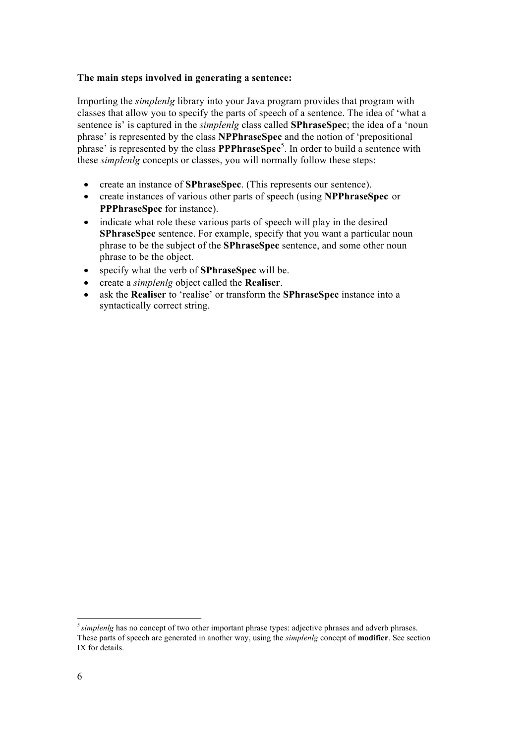#### **The main steps involved in generating a sentence:**

Importing the *simplenlg* library into your Java program provides that program with classes that allow you to specify the parts of speech of a sentence. The idea of 'what a sentence is' is captured in the *simplenlg* class called **SPhraseSpec**; the idea of a 'noun phrase' is represented by the class **NPPhraseSpec** and the notion of 'prepositional phrase' is represented by the class **PPPhraseSpec**<sup>5</sup> . In order to build a sentence with these *simplenlg* concepts or classes, you will normally follow these steps:

- create an instance of **SPhraseSpec**. (This represents our sentence).
- create instances of various other parts of speech (using **NPPhraseSpec** or **PPPhraseSpec** for instance).
- indicate what role these various parts of speech will play in the desired **SPhraseSpec** sentence. For example, specify that you want a particular noun phrase to be the subject of the **SPhraseSpec** sentence, and some other noun phrase to be the object.
- specify what the verb of **SPhraseSpec** will be.
- create a *simplenlg* object called the **Realiser**.
- ask the **Realiser** to 'realise' or transform the **SPhraseSpec** instance into a syntactically correct string.

<sup>&</sup>lt;sup>5</sup> simplenlg has no concept of two other important phrase types: adjective phrases and adverb phrases. These parts of speech are generated in another way, using the *simplenlg* concept of **modifier**. See section IX for details.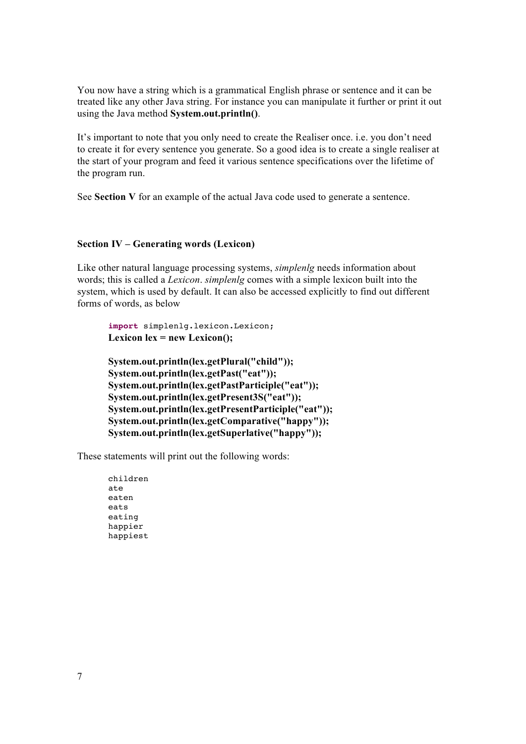You now have a string which is a grammatical English phrase or sentence and it can be treated like any other Java string. For instance you can manipulate it further or print it out using the Java method **System.out.println()**.

It's important to note that you only need to create the Realiser once. i.e. you don't need to create it for every sentence you generate. So a good idea is to create a single realiser at the start of your program and feed it various sentence specifications over the lifetime of the program run.

See **Section V** for an example of the actual Java code used to generate a sentence.

#### **Section IV – Generating words (Lexicon)**

Like other natural language processing systems, *simplenlg* needs information about words; this is called a *Lexicon*. *simplenlg* comes with a simple lexicon built into the system, which is used by default. It can also be accessed explicitly to find out different forms of words, as below

```
import simplenlg.lexicon.Lexicon;
Lexicon lex = new Lexicon();
```
**System.out.println(lex.getPlural("child")); System.out.println(lex.getPast("eat")); System.out.println(lex.getPastParticiple("eat")); System.out.println(lex.getPresent3S("eat")); System.out.println(lex.getPresentParticiple("eat")); System.out.println(lex.getComparative("happy")); System.out.println(lex.getSuperlative("happy"));**

These statements will print out the following words:

children ate eaten eats eating happier happiest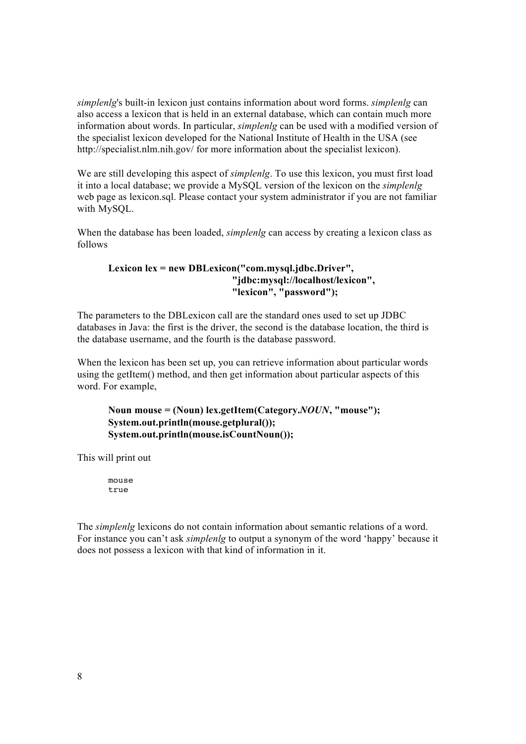*simplenlg*'s built-in lexicon just contains information about word forms. *simplenlg* can also access a lexicon that is held in an external database, which can contain much more information about words. In particular, *simplenlg* can be used with a modified version of the specialist lexicon developed for the National Institute of Health in the USA (see http://specialist.nlm.nih.gov/ for more information about the specialist lexicon).

We are still developing this aspect of *simplenlg*. To use this lexicon, you must first load it into a local database; we provide a MySQL version of the lexicon on the *simplenlg* web page as lexicon.sql. Please contact your system administrator if you are not familiar with MySQL.

When the database has been loaded, *simplenlg* can access by creating a lexicon class as follows

# **Lexicon lex = new DBLexicon("com.mysql.jdbc.Driver", "jdbc:mysql://localhost/lexicon", "lexicon", "password");**

The parameters to the DBLexicon call are the standard ones used to set up JDBC databases in Java: the first is the driver, the second is the database location, the third is the database username, and the fourth is the database password.

When the lexicon has been set up, you can retrieve information about particular words using the getItem() method, and then get information about particular aspects of this word. For example,

# **Noun mouse = (Noun) lex.getItem(Category.***NOUN***, "mouse"); System.out.println(mouse.getplural()); System.out.println(mouse.isCountNoun());**

This will print out

mouse true

The *simplenlg* lexicons do not contain information about semantic relations of a word. For instance you can't ask *simplenlg* to output a synonym of the word 'happy' because it does not possess a lexicon with that kind of information in it.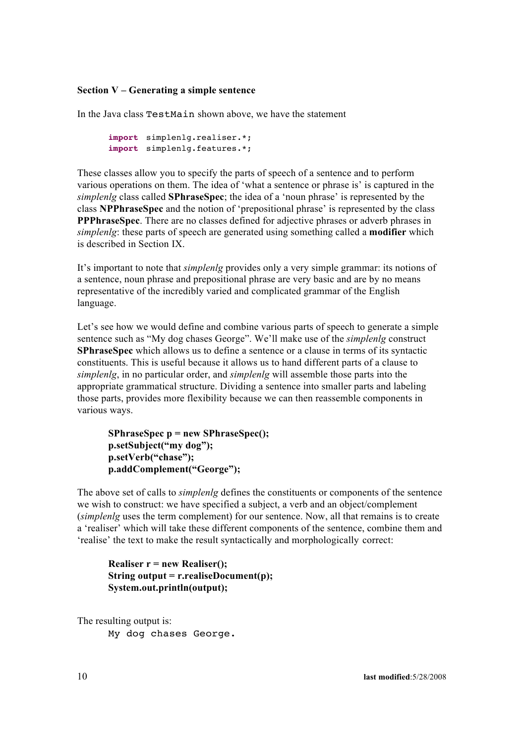# **Section V – Generating a simple sentence**

In the Java class TestMain shown above, we have the statement

```
import simplenlg.realiser.*;
import simplenlg.features.*;
```
These classes allow you to specify the parts of speech of a sentence and to perform various operations on them. The idea of 'what a sentence or phrase is' is captured in the *simplenlg* class called **SPhraseSpec**; the idea of a 'noun phrase' is represented by the class **NPPhraseSpec** and the notion of 'prepositional phrase' is represented by the class **PPPhraseSpec**. There are no classes defined for adjective phrases or adverb phrases in *simplenlg*: these parts of speech are generated using something called a **modifier** which is described in Section IX.

It's important to note that *simplenlg* provides only a very simple grammar: its notions of a sentence, noun phrase and prepositional phrase are very basic and are by no means representative of the incredibly varied and complicated grammar of the English language.

Let's see how we would define and combine various parts of speech to generate a simple sentence such as "My dog chases George". We'll make use of the *simplenlg* construct **SPhraseSpec** which allows us to define a sentence or a clause in terms of its syntactic constituents. This is useful because it allows us to hand different parts of a clause to *simplenlg*, in no particular order, and *simplenlg* will assemble those parts into the appropriate grammatical structure. Dividing a sentence into smaller parts and labeling those parts, provides more flexibility because we can then reassemble components in various ways.

**SPhraseSpec p = new SPhraseSpec(); p.setSubject("my dog"); p.setVerb("chase"); p.addComplement("George");**

The above set of calls to *simplenlg* defines the constituents or components of the sentence we wish to construct: we have specified a subject, a verb and an object/complement (*simplenlg* uses the term complement) for our sentence. Now, all that remains is to create a 'realiser' which will take these different components of the sentence, combine them and 'realise' the text to make the result syntactically and morphologically correct:

**Realiser r = new Realiser(); String output = r.realiseDocument(p); System.out.println(output);**

The resulting output is:

My dog chases George.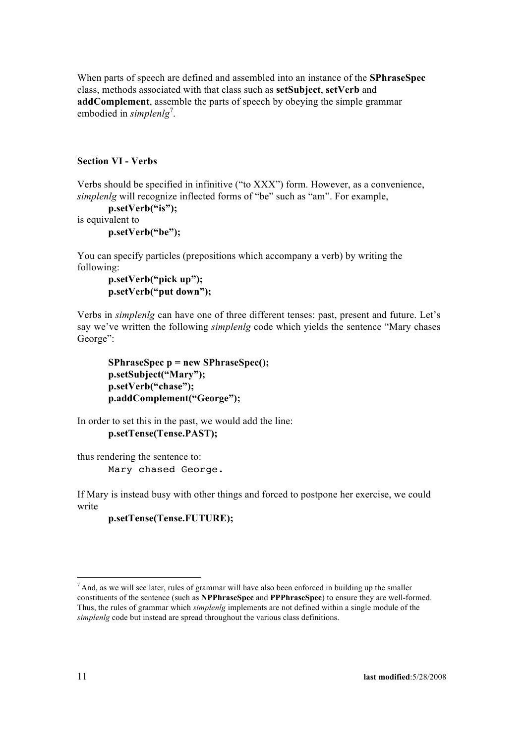When parts of speech are defined and assembled into an instance of the **SPhraseSpec**  class, methods associated with that class such as **setSubject**, **setVerb** and **addComplement**, assemble the parts of speech by obeying the simple grammar embodied in *simplenlg*<sup>7</sup>.

## **Section VI - Verbs**

Verbs should be specified in infinitive ("to XXX") form. However, as a convenience, *simplenlg* will recognize inflected forms of "be" such as "am". For example,

```
p.setVerb("is");
is equivalent to
```
**p.setVerb("be");**

You can specify particles (prepositions which accompany a verb) by writing the following:

```
p.setVerb("pick up"); 
p.setVerb("put down");
```
Verbs in *simplenlg* can have one of three different tenses: past, present and future. Let's say we've written the following *simplenlg* code which yields the sentence "Mary chases George":

```
SPhraseSpec p = new SPhraseSpec(); 
p.setSubject("Mary"); 
p.setVerb("chase"); 
p.addComplement("George");
```
In order to set this in the past, we would add the line: **p.setTense(Tense.PAST);**

thus rendering the sentence to: Mary chased George.

If Mary is instead busy with other things and forced to postpone her exercise, we could write

**p.setTense(Tense.FUTURE);**

 $<sup>7</sup>$  And, as we will see later, rules of grammar will have also been enforced in building up the smaller</sup> constituents of the sentence (such as **NPPhraseSpec** and **PPPhraseSpec**) to ensure they are well-formed. Thus, the rules of grammar which *simplenlg* implements are not defined within a single module of the *simplenlg* code but instead are spread throughout the various class definitions.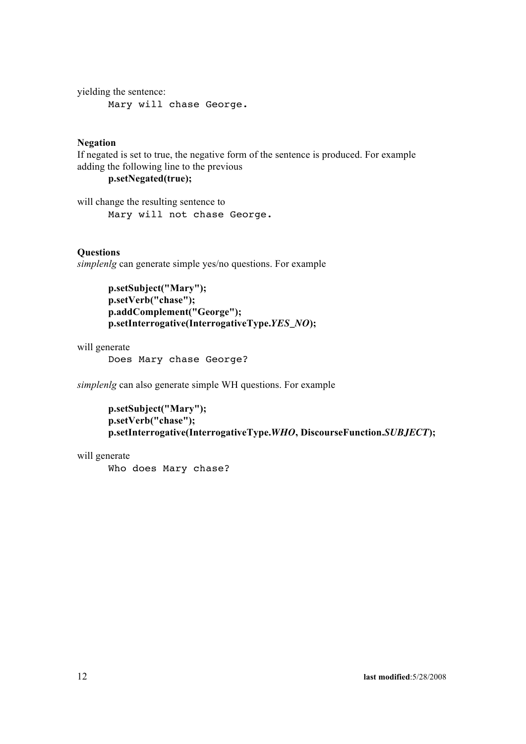yielding the sentence: Mary will chase George.

# **Negation**

If negated is set to true, the negative form of the sentence is produced. For example adding the following line to the previous

**p.setNegated(true);**

will change the resulting sentence to Mary will not chase George.

# **Questions**

*simplenlg* can generate simple yes/no questions. For example

**p.setSubject("Mary"); p.setVerb("chase"); p.addComplement("George"); p.setInterrogative(InterrogativeType.***YES\_NO***);**

will generate

Does Mary chase George?

*simplenlg* can also generate simple WH questions. For example

```
p.setSubject("Mary"); 
p.setVerb("chase");
p.setInterrogative(InterrogativeType.WHO, DiscourseFunction.SUBJECT);
```
will generate

Who does Mary chase?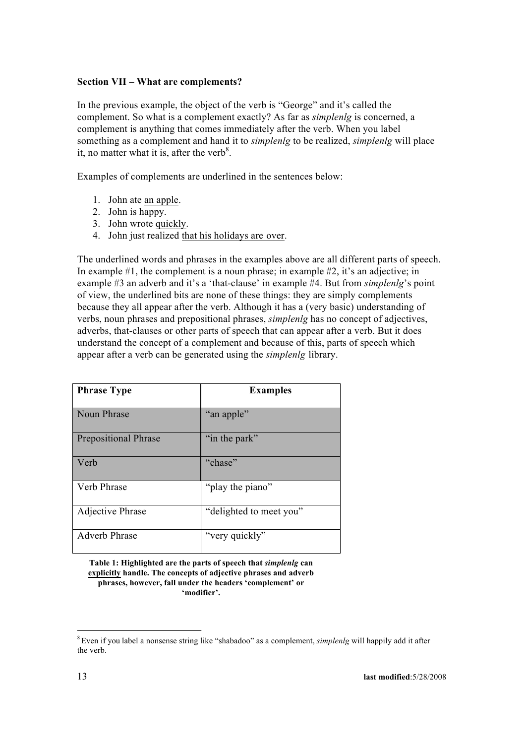# **Section VII – What are complements?**

In the previous example, the object of the verb is "George" and it's called the complement. So what is a complement exactly? As far as *simplenlg* is concerned, a complement is anything that comes immediately after the verb. When you label something as a complement and hand it to *simplenlg* to be realized, *simplenlg* will place it, no matter what it is, after the verb<sup>8</sup>.

Examples of complements are underlined in the sentences below:

- 1. John ate an apple.
- 2. John is happy.
- 3. John wrote quickly.
- 4. John just realized that his holidays are over.

The underlined words and phrases in the examples above are all different parts of speech. In example #1, the complement is a noun phrase; in example #2, it's an adjective; in example #3 an adverb and it's a 'that-clause' in example #4. But from *simplenlg*'s point of view, the underlined bits are none of these things: they are simply complements because they all appear after the verb. Although it has a (very basic) understanding of verbs, noun phrases and prepositional phrases, *simplenlg* has no concept of adjectives, adverbs, that-clauses or other parts of speech that can appear after a verb. But it does understand the concept of a complement and because of this, parts of speech which appear after a verb can be generated using the *simplenlg* library.

| <b>Phrase Type</b>          | <b>Examples</b>         |
|-----------------------------|-------------------------|
| Noun Phrase                 | "an apple"              |
| <b>Prepositional Phrase</b> | "in the park"           |
| Verb                        | "chase"                 |
| Verb Phrase                 | "play the piano"        |
| Adjective Phrase            | "delighted to meet you" |
| <b>Adverb Phrase</b>        | "very quickly"          |

**Table 1: Highlighted are the parts of speech that** *simplenlg* **can explicitly handle. The concepts of adjective phrases and adverb phrases, however, fall under the headers 'complement' or 'modifier'.**

<sup>8</sup> Even if you label a nonsense string like "shabadoo" as a complement, *simplenlg* will happily add it after the verb.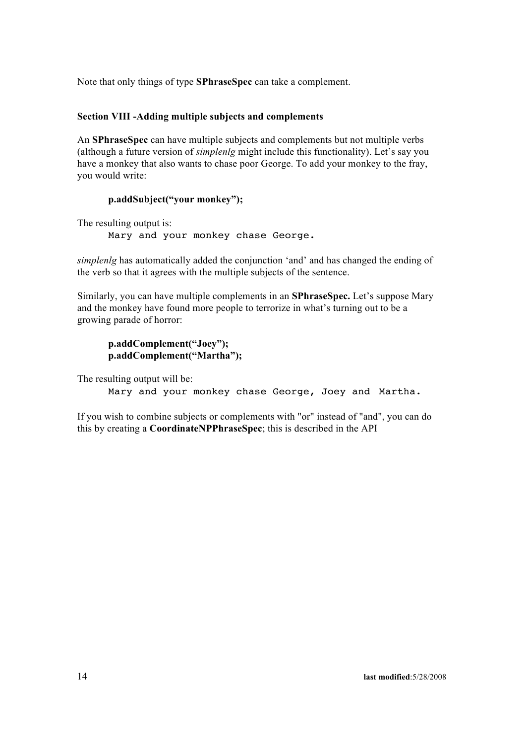Note that only things of type **SPhraseSpec** can take a complement.

## **Section VIII -Adding multiple subjects and complements**

An **SPhraseSpec** can have multiple subjects and complements but not multiple verbs (although a future version of *simplenlg* might include this functionality). Let's say you have a monkey that also wants to chase poor George. To add your monkey to the fray, you would write:

# **p.addSubject("your monkey");**

The resulting output is:

Mary and your monkey chase George.

*simplenlg* has automatically added the conjunction 'and' and has changed the ending of the verb so that it agrees with the multiple subjects of the sentence.

Similarly, you can have multiple complements in an **SPhraseSpec.** Let's suppose Mary and the monkey have found more people to terrorize in what's turning out to be a growing parade of horror:

**p.addComplement("Joey"); p.addComplement("Martha");**

The resulting output will be:

Mary and your monkey chase George, Joey and Martha.

If you wish to combine subjects or complements with "or" instead of "and", you can do this by creating a **CoordinateNPPhraseSpec**; this is described in the API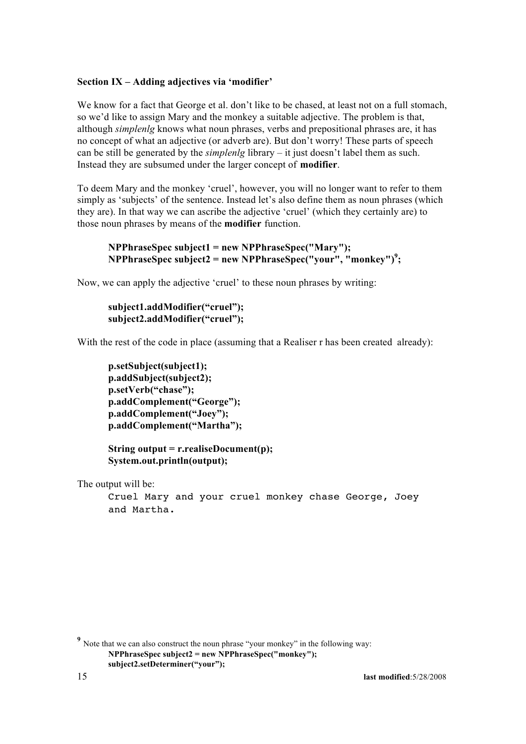#### **Section IX – Adding adjectives via 'modifier'**

We know for a fact that George et al. don't like to be chased, at least not on a full stomach, so we'd like to assign Mary and the monkey a suitable adjective. The problem is that, although *simplenlg* knows what noun phrases, verbs and prepositional phrases are, it has no concept of what an adjective (or adverb are). But don't worry! These parts of speech can be still be generated by the *simplenlg* library – it just doesn't label them as such. Instead they are subsumed under the larger concept of **modifier**.

To deem Mary and the monkey 'cruel', however, you will no longer want to refer to them simply as 'subjects' of the sentence. Instead let's also define them as noun phrases (which they are). In that way we can ascribe the adjective 'cruel' (which they certainly are) to those noun phrases by means of the **modifier** function.

```
NPPhraseSpec subject1 = new NPPhraseSpec("Mary"); 
NPPhraseSpec subject2 = new NPPhraseSpec("your", "monkey")9
;
```
Now, we can apply the adjective 'cruel' to these noun phrases by writing:

```
subject1.addModifier("cruel"); 
subject2.addModifier("cruel");
```
With the rest of the code in place (assuming that a Realiser r has been created already):

```
p.setSubject(subject1); 
p.addSubject(subject2); 
p.setVerb("chase"); 
p.addComplement("George"); 
p.addComplement("Joey"); 
p.addComplement("Martha");
```
**String output = r.realiseDocument(p); System.out.println(output);**

The output will be:

```
Cruel Mary and your cruel monkey chase George, Joey 
and Martha.
```
<sup>&</sup>lt;sup>9</sup> Note that we can also construct the noun phrase "your monkey" in the following way: **NPPhraseSpec subject2 = new NPPhraseSpec("monkey"); subject2.setDeterminer("your");**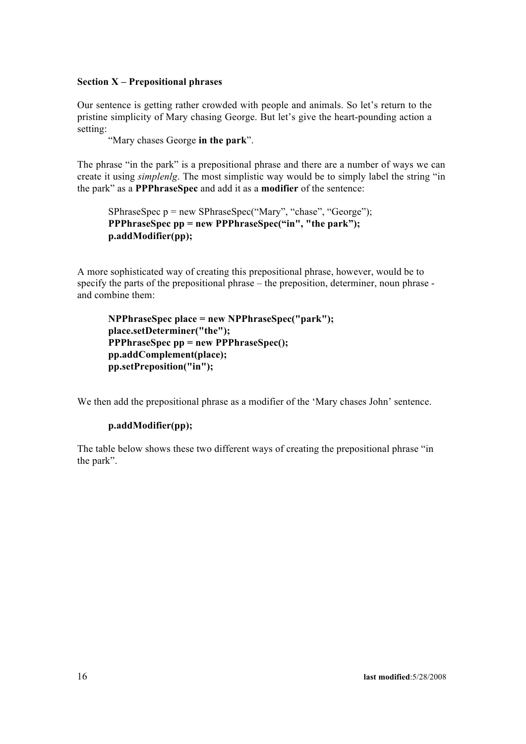# **Section X – Prepositional phrases**

Our sentence is getting rather crowded with people and animals. So let's return to the pristine simplicity of Mary chasing George. But let's give the heart-pounding action a setting:

"Mary chases George **in the park**".

The phrase "in the park" is a prepositional phrase and there are a number of ways we can create it using *simplenlg*. The most simplistic way would be to simply label the string "in the park" as a **PPPhraseSpec** and add it as a **modifier** of the sentence:

SPhraseSpec p = new SPhraseSpec("Mary", "chase", "George"); **PPPhraseSpec pp = new PPPhraseSpec("in", "the park"); p.addModifier(pp);**

A more sophisticated way of creating this prepositional phrase, however, would be to specify the parts of the prepositional phrase – the preposition, determiner, noun phrase and combine them:

```
NPPhraseSpec place = new NPPhraseSpec("park"); 
place.setDeterminer("the");
PPPhraseSpec pp = new PPPhraseSpec(); 
pp.addComplement(place); 
pp.setPreposition("in");
```
We then add the prepositional phrase as a modifier of the 'Mary chases John' sentence.

#### **p.addModifier(pp);**

The table below shows these two different ways of creating the prepositional phrase "in the park".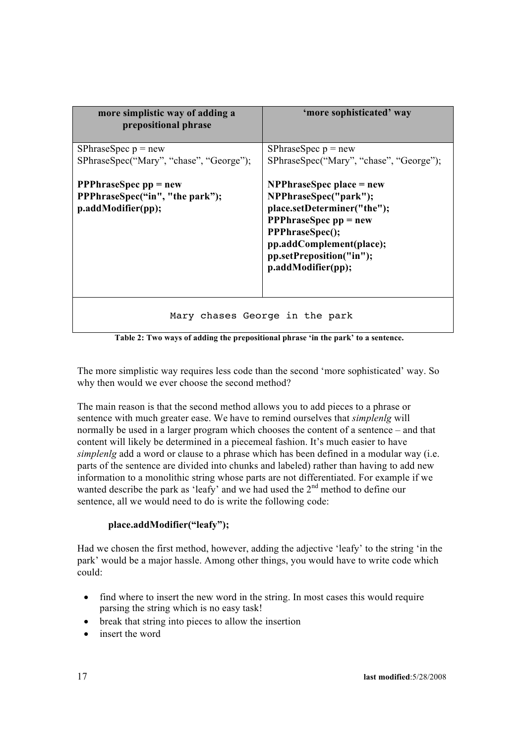| more simplistic way of adding a<br>prepositional phrase                                            | 'more sophisticated' way                                                                                                                                                                                                         |
|----------------------------------------------------------------------------------------------------|----------------------------------------------------------------------------------------------------------------------------------------------------------------------------------------------------------------------------------|
| SPhraseSpec $p = new$<br>SPhraseSpec("Mary", "chase", "George");                                   | SPhraseSpec $p = new$<br>SPhraseSpec("Mary", "chase", "George");                                                                                                                                                                 |
| <b>PPPhraseSpec <math>pp = new</math></b><br>PPPhraseSpec("in", "the park");<br>p.addModifier(pp); | $NPPhraseSpec place = new$<br>NPPhraseSpec("park");<br>place.setDeterminer("the");<br><b>PPPhraseSpec <math>pp = new</math></b><br>PPPhraseSpec();<br>pp.addComplement(place);<br>pp.setPreposition("in");<br>p.addModifier(pp); |
| Mary chases George in the park                                                                     |                                                                                                                                                                                                                                  |

**Table 2: Two ways of adding the prepositional phrase 'in the park' to a sentence.**

The more simplistic way requires less code than the second 'more sophisticated' way. So why then would we ever choose the second method?

The main reason is that the second method allows you to add pieces to a phrase or sentence with much greater ease. We have to remind ourselves that *simplenlg* will normally be used in a larger program which chooses the content of a sentence – and that content will likely be determined in a piecemeal fashion. It's much easier to have *simplenlg* add a word or clause to a phrase which has been defined in a modular way (i.e. parts of the sentence are divided into chunks and labeled) rather than having to add new information to a monolithic string whose parts are not differentiated. For example if we wanted describe the park as 'leafy' and we had used the  $2<sup>nd</sup>$  method to define our sentence, all we would need to do is write the following code:

# **place.addModifier("leafy");**

Had we chosen the first method, however, adding the adjective 'leafy' to the string 'in the park' would be a major hassle. Among other things, you would have to write code which could:

- find where to insert the new word in the string. In most cases this would require parsing the string which is no easy task!
- break that string into pieces to allow the insertion
- insert the word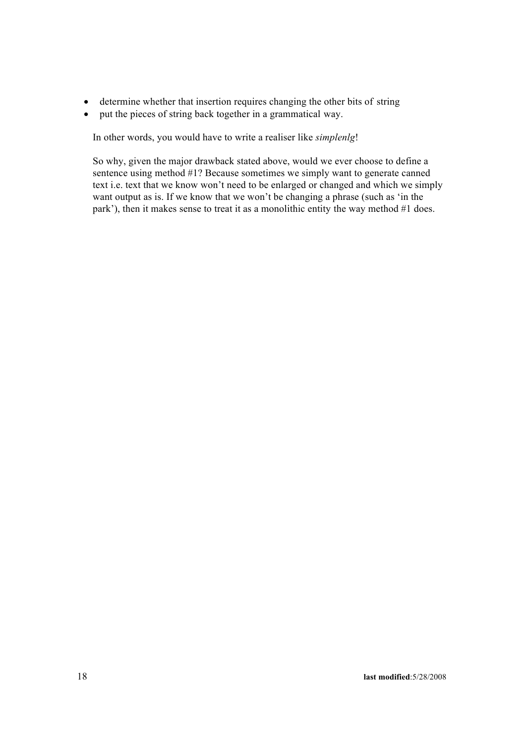- determine whether that insertion requires changing the other bits of string
- put the pieces of string back together in a grammatical way.

In other words, you would have to write a realiser like *simplenlg*!

So why, given the major drawback stated above, would we ever choose to define a sentence using method #1? Because sometimes we simply want to generate canned text i.e. text that we know won't need to be enlarged or changed and which we simply want output as is. If we know that we won't be changing a phrase (such as 'in the park'), then it makes sense to treat it as a monolithic entity the way method #1 does.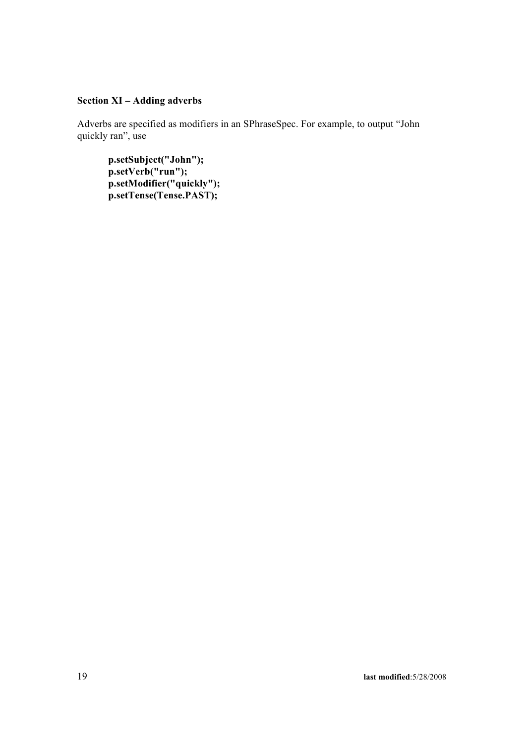# **Section XI – Adding adverbs**

Adverbs are specified as modifiers in an SPhraseSpec. For example, to output "John quickly ran", use

**p.setSubject("John"); p.setVerb("run"); p.setModifier("quickly"); p.setTense(Tense.PAST);**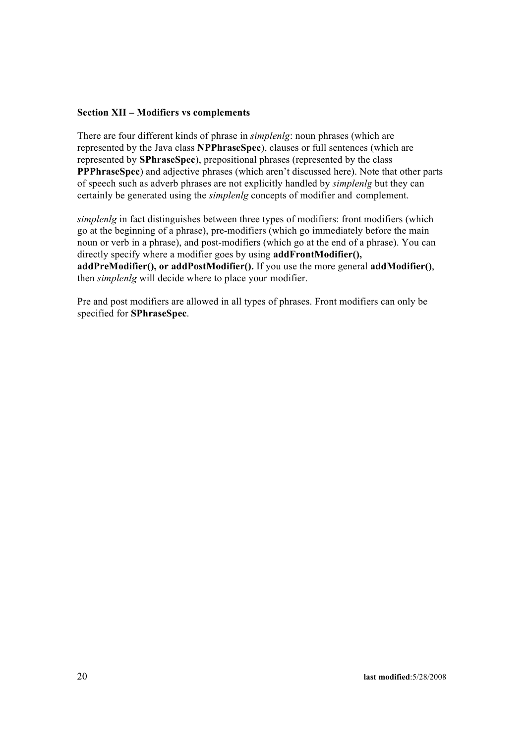## **Section XII – Modifiers vs complements**

There are four different kinds of phrase in *simplenlg*: noun phrases (which are represented by the Java class **NPPhraseSpec**), clauses or full sentences (which are represented by **SPhraseSpec**), prepositional phrases (represented by the class **PPPhraseSpec**) and adjective phrases (which aren't discussed here). Note that other parts of speech such as adverb phrases are not explicitly handled by *simplenlg* but they can certainly be generated using the *simplenlg* concepts of modifier and complement.

*simplenlg* in fact distinguishes between three types of modifiers: front modifiers (which go at the beginning of a phrase), pre-modifiers (which go immediately before the main noun or verb in a phrase), and post-modifiers (which go at the end of a phrase). You can directly specify where a modifier goes by using **addFrontModifier(), addPreModifier(), or addPostModifier().** If you use the more general **addModifier()**, then *simplenlg* will decide where to place your modifier.

Pre and post modifiers are allowed in all types of phrases. Front modifiers can only be specified for **SPhraseSpec**.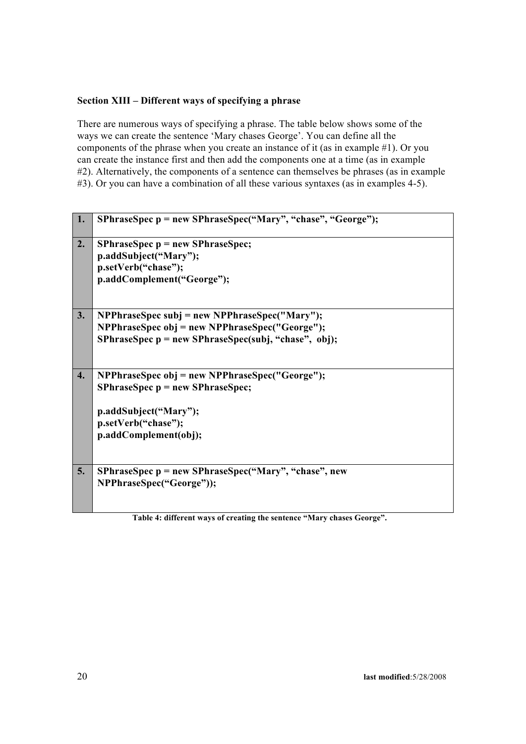# **Section XIII – Different ways of specifying a phrase**

There are numerous ways of specifying a phrase. The table below shows some of the ways we can create the sentence 'Mary chases George'. You can define all the components of the phrase when you create an instance of it (as in example #1). Or you can create the instance first and then add the components one at a time (as in example #2). Alternatively, the components of a sentence can themselves be phrases (as in example #3). Or you can have a combination of all these various syntaxes (as in examples 4-5).

| 1. | SPhraseSpec p = new SPhraseSpec("Mary", "chase", "George");                                                                                                   |
|----|---------------------------------------------------------------------------------------------------------------------------------------------------------------|
| 2. | $SPhraseSpec p = new SPhraseSpec;$<br>p.addSubject("Mary");<br>p.setVerb("chase");<br>p.addComplement("George");                                              |
| 3. | NPPhraseSpec subj = new NPPhraseSpec("Mary");<br>NPPhraseSpec obj = new NPPhraseSpec("George");<br>SPhraseSpec p = new SPhraseSpec(subj, "chase", obj);       |
| 4. | NPPhraseSpec obj = new NPPhraseSpec("George");<br>$SPhraseSpec p = new SPhraseSpec;$<br>p.addSubject("Mary");<br>p.setVerb("chase");<br>p.addComplement(obj); |
| 5. | SPhraseSpec p = new SPhraseSpec("Mary", "chase", new<br>NPPhraseSpec("George"));                                                                              |

**Table 4: different ways of creating the sentence "Mary chases George".**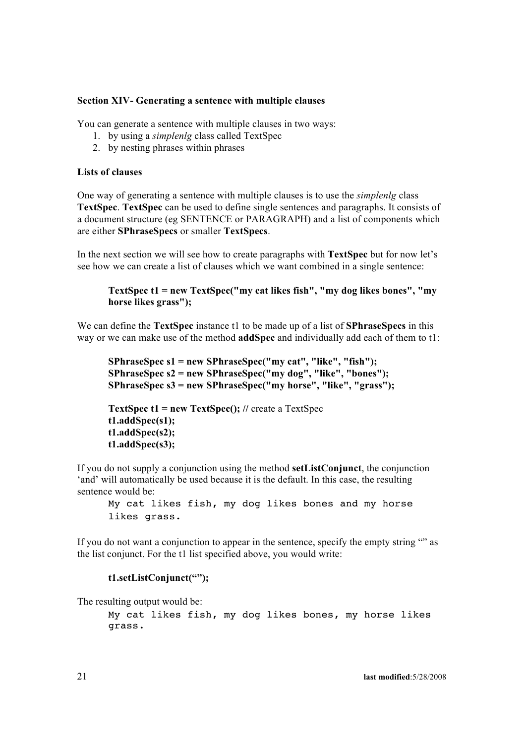#### **Section XIV- Generating a sentence with multiple clauses**

You can generate a sentence with multiple clauses in two ways:

- 1. by using a *simplenlg* class called TextSpec
- 2. by nesting phrases within phrases

#### **Lists of clauses**

One way of generating a sentence with multiple clauses is to use the *simplenlg* class **TextSpec**. **TextSpec** can be used to define single sentences and paragraphs. It consists of a document structure (eg SENTENCE or PARAGRAPH) and a list of components which are either **SPhraseSpecs** or smaller **TextSpecs**.

In the next section we will see how to create paragraphs with **TextSpec** but for now let's see how we can create a list of clauses which we want combined in a single sentence:

# **TextSpec t1 = new TextSpec("my cat likes fish", "my dog likes bones", "my horse likes grass");**

We can define the **TextSpec** instance t1 to be made up of a list of **SPhraseSpecs** in this way or we can make use of the method **addSpec** and individually add each of them to t1:

```
SPhraseSpec s1 = new SPhraseSpec("my cat", "like", "fish"); 
SPhraseSpec s2 = new SPhraseSpec("my dog", "like", "bones"); 
SPhraseSpec s3 = new SPhraseSpec("my horse", "like", "grass");
```

```
TextSpec t1 = new TextSpec(); // create a TextSpec
t1.addSpec(s1); 
t1.addSpec(s2); 
t1.addSpec(s3);
```
If you do not supply a conjunction using the method **setListConjunct**, the conjunction 'and' will automatically be used because it is the default. In this case, the resulting sentence would be:

My cat likes fish, my dog likes bones and my horse likes grass.

If you do not want a conjunction to appear in the sentence, specify the empty string "" as the list conjunct. For the t1 list specified above, you would write:

#### **t1.setListConjunct("");**

The resulting output would be:

My cat likes fish, my dog likes bones, my horse likes grass.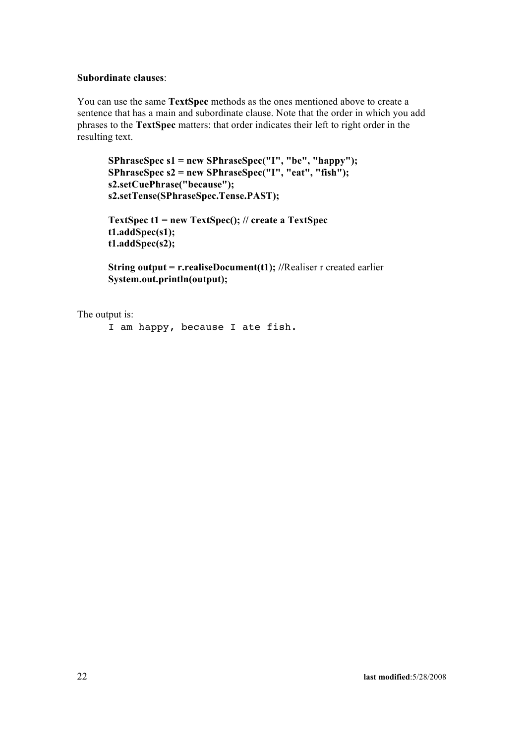### **Subordinate clauses**:

You can use the same **TextSpec** methods as the ones mentioned above to create a sentence that has a main and subordinate clause. Note that the order in which you add phrases to the **TextSpec** matters: that order indicates their left to right order in the resulting text.

```
SPhraseSpec s1 = new SPhraseSpec("I", "be", "happy"); 
SPhraseSpec s2 = new SPhraseSpec("I", "eat", "fish"); 
s2.setCuePhrase("because"); 
s2.setTense(SPhraseSpec.Tense.PAST);
```

```
TextSpec t1 = new TextSpec(); // create a TextSpec 
t1.addSpec(s1);
t1.addSpec(s2);
```
**String output = r.realiseDocument(t1);** //Realiser r created earlier **System.out.println(output);**

The output is:

```
I am happy, because I ate fish.
```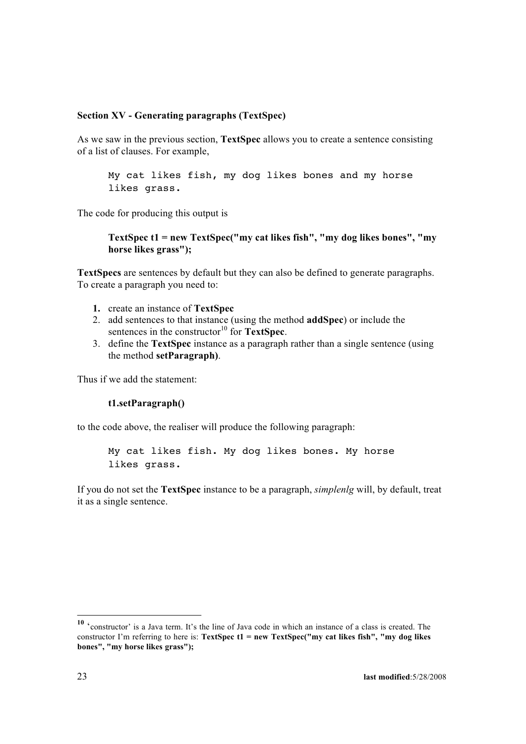## **Section XV - Generating paragraphs (TextSpec)**

As we saw in the previous section, **TextSpec** allows you to create a sentence consisting of a list of clauses. For example,

My cat likes fish, my dog likes bones and my horse likes grass.

The code for producing this output is

```
TextSpec t1 = new TextSpec("my cat likes fish", "my dog likes bones", "my 
horse likes grass");
```
**TextSpecs** are sentences by default but they can also be defined to generate paragraphs. To create a paragraph you need to:

- **1.** create an instance of **TextSpec**
- 2. add sentences to that instance (using the method **addSpec**) or include the sentences in the constructor<sup>10</sup> for **TextSpec**.
- 3. define the **TextSpec** instance as a paragraph rather than a single sentence (using the method **setParagraph)**.

Thus if we add the statement:

#### **t1.setParagraph()**

to the code above, the realiser will produce the following paragraph:

My cat likes fish. My dog likes bones. My horse likes grass.

If you do not set the **TextSpec** instance to be a paragraph, *simplenlg* will, by default, treat it as a single sentence.

**<sup>10</sup>** 'constructor' is a Java term. It's the line of Java code in which an instance of a class is created. The constructor I'm referring to here is: **TextSpec t1 = new TextSpec("my cat likes fish", "my dog likes bones", "my horse likes grass");**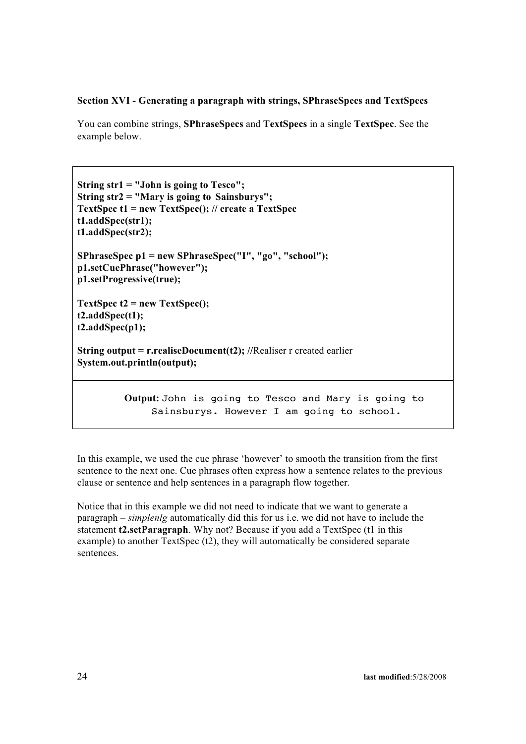# **Section XVI - Generating a paragraph with strings, SPhraseSpecs and TextSpecs**

You can combine strings, **SPhraseSpecs** and **TextSpecs** in a single **TextSpec**. See the example below.

```
String str1 = "John is going to Tesco"; 
String str2 = "Mary is going to Sainsburys";
TextSpec t1 = new TextSpec(); // create a TextSpec 
t1.addSpec(str1);
t1.addSpec(str2);
SPhraseSpec p1 = new SPhraseSpec("I", "go", "school"); 
p1.setCuePhrase("however");
p1.setProgressive(true);
TextSpec t2 = new TextSpec();
```

```
t2.addSpec(t1); 
t2.addSpec(p1);
```
**String output = r.realiseDocument(t2);** //Realiser r created earlier **System.out.println(output);**

> **Output:** John is going to Tesco and Mary is going to Sainsburys. However I am going to school.

In this example, we used the cue phrase 'however' to smooth the transition from the first sentence to the next one. Cue phrases often express how a sentence relates to the previous clause or sentence and help sentences in a paragraph flow together.

Notice that in this example we did not need to indicate that we want to generate a paragraph – *simplenlg* automatically did this for us i.e. we did not have to include the statement **t2.setParagraph**. Why not? Because if you add a TextSpec (t1 in this example) to another TextSpec (t2), they will automatically be considered separate sentences.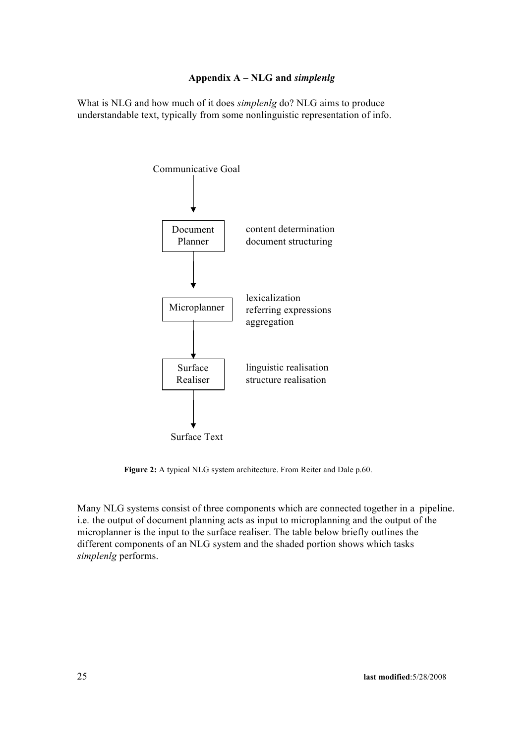# **Appendix A – NLG and** *simplenlg*

What is NLG and how much of it does *simplenlg* do? NLG aims to produce understandable text, typically from some nonlinguistic representation of info.



**Figure 2:** A typical NLG system architecture. From Reiter and Dale p.60.

Many NLG systems consist of three components which are connected together in a pipeline. i.e. the output of document planning acts as input to microplanning and the output of the microplanner is the input to the surface realiser. The table below briefly outlines the different components of an NLG system and the shaded portion shows which tasks *simplenlg* performs.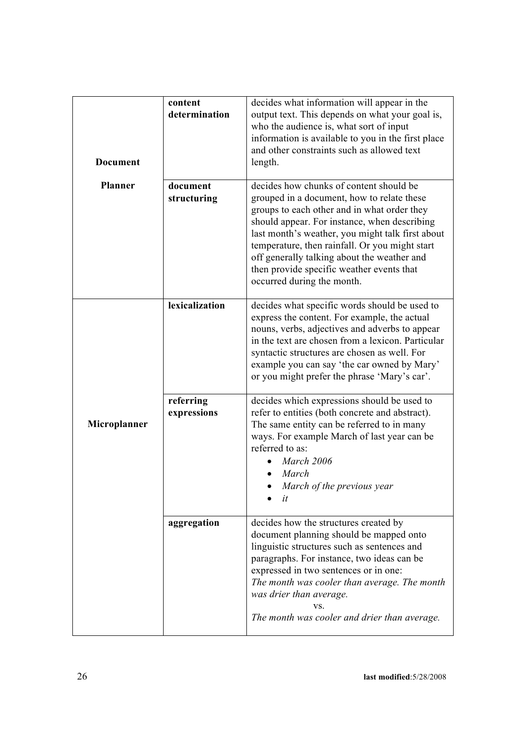| <b>Document</b> | content<br>determination | decides what information will appear in the<br>output text. This depends on what your goal is,<br>who the audience is, what sort of input<br>information is available to you in the first place<br>and other constraints such as allowed text<br>length.                                                                                                                                                             |
|-----------------|--------------------------|----------------------------------------------------------------------------------------------------------------------------------------------------------------------------------------------------------------------------------------------------------------------------------------------------------------------------------------------------------------------------------------------------------------------|
| <b>Planner</b>  | document<br>structuring  | decides how chunks of content should be<br>grouped in a document, how to relate these<br>groups to each other and in what order they<br>should appear. For instance, when describing<br>last month's weather, you might talk first about<br>temperature, then rainfall. Or you might start<br>off generally talking about the weather and<br>then provide specific weather events that<br>occurred during the month. |
|                 | lexicalization           | decides what specific words should be used to<br>express the content. For example, the actual<br>nouns, verbs, adjectives and adverbs to appear<br>in the text are chosen from a lexicon. Particular<br>syntactic structures are chosen as well. For<br>example you can say 'the car owned by Mary'<br>or you might prefer the phrase 'Mary's car'.                                                                  |
| Microplanner    | referring<br>expressions | decides which expressions should be used to<br>refer to entities (both concrete and abstract).<br>The same entity can be referred to in many<br>ways. For example March of last year can be<br>referred to as:<br>March 2006<br>March<br>March of the previous year<br>it                                                                                                                                            |
|                 | aggregation              | decides how the structures created by<br>document planning should be mapped onto<br>linguistic structures such as sentences and<br>paragraphs. For instance, two ideas can be<br>expressed in two sentences or in one:<br>The month was cooler than average. The month<br>was drier than average.<br>VS.<br>The month was cooler and drier than average.                                                             |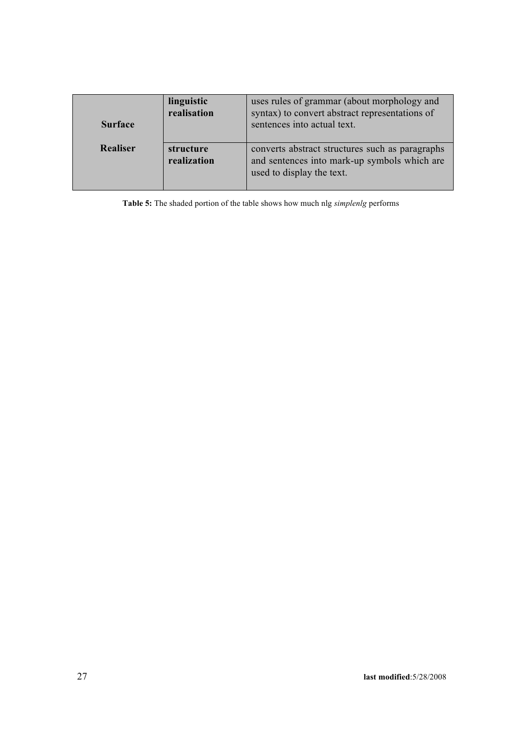| <b>Surface</b>  | linguistic<br>realisation | uses rules of grammar (about morphology and<br>syntax) to convert abstract representations of<br>sentences into actual text. |
|-----------------|---------------------------|------------------------------------------------------------------------------------------------------------------------------|
| <b>Realiser</b> | structure<br>realization  | converts abstract structures such as paragraphs<br>and sentences into mark-up symbols which are<br>used to display the text. |

**Table 5:** The shaded portion of the table shows how much nlg *simplenlg* performs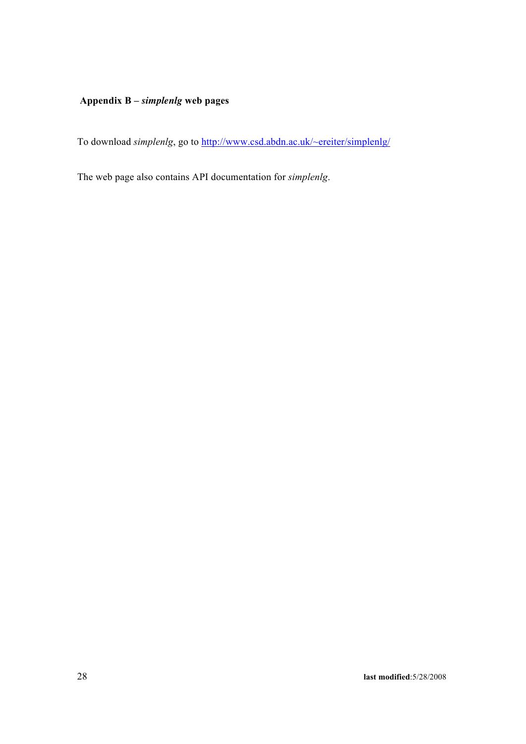# **Appendix B –** *simplenlg* **web pages**

To download *simplenlg*, go to http://www.csd.abdn.ac.uk/~ereiter/simplenlg/

The web page also contains API documentation for *simplenlg*.